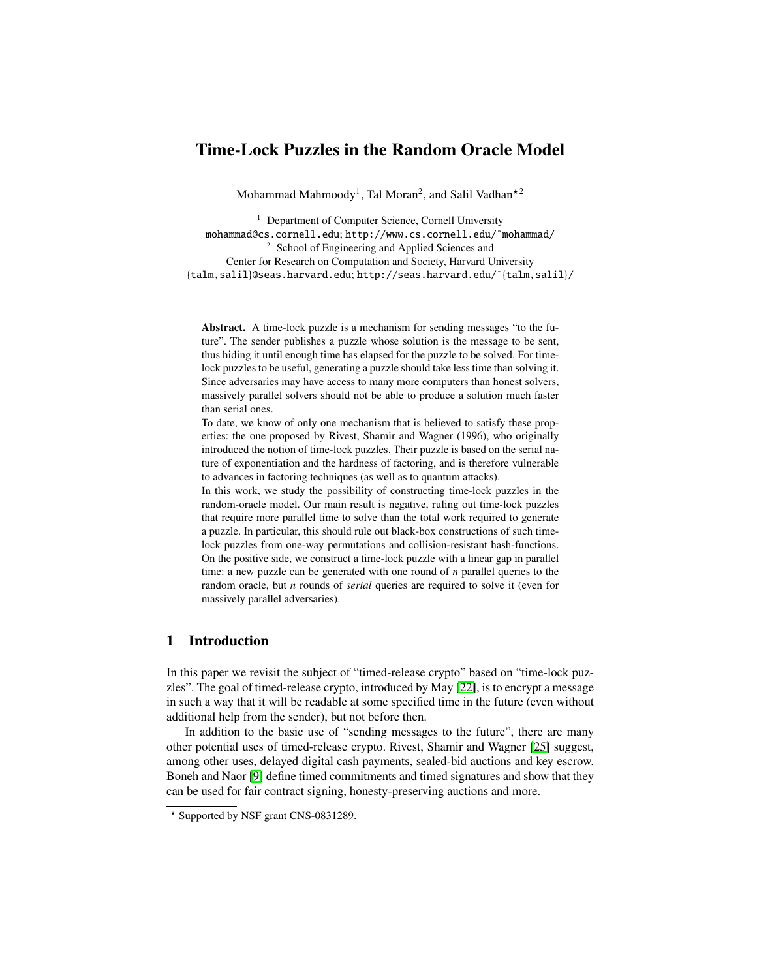# Time-Lock Puzzles in the Random Oracle Model

 $M$ ohammad  $M$ ahmoody $^1$ , Tal  $M$ oran $^2$ , and Salil Vadhan $^{\star\,2}$ 

<sup>1</sup> Department of Computer Science, Cornell University mohammad@cs.cornell.edu; http://www.cs.cornell.edu/˜mohammad/ <sup>2</sup> School of Engineering and Applied Sciences and Center for Research on Computation and Society, Harvard University {talm,salil}@seas.harvard.edu; http://seas.harvard.edu/˜{talm,salil}/

Abstract. A time-lock puzzle is a mechanism for sending messages "to the future". The sender publishes a puzzle whose solution is the message to be sent, thus hiding it until enough time has elapsed for the puzzle to be solved. For timelock puzzles to be useful, generating a puzzle should take less time than solving it. Since adversaries may have access to many more computers than honest solvers, massively parallel solvers should not be able to produce a solution much faster than serial ones.

To date, we know of only one mechanism that is believed to satisfy these properties: the one proposed by Rivest, Shamir and Wagner (1996), who originally introduced the notion of time-lock puzzles. Their puzzle is based on the serial nature of exponentiation and the hardness of factoring, and is therefore vulnerable to advances in factoring techniques (as well as to quantum attacks).

In this work, we study the possibility of constructing time-lock puzzles in the random-oracle model. Our main result is negative, ruling out time-lock puzzles that require more parallel time to solve than the total work required to generate a puzzle. In particular, this should rule out black-box constructions of such timelock puzzles from one-way permutations and collision-resistant hash-functions. On the positive side, we construct a time-lock puzzle with a linear gap in parallel time: a new puzzle can be generated with one round of *n* parallel queries to the random oracle, but *n* rounds of *serial* queries are required to solve it (even for massively parallel adversaries).

# 1 Introduction

In this paper we revisit the subject of "timed-release crypto" based on "time-lock puzzles". The goal of timed-release crypto, introduced by May [\[22\]](#page-11-0), is to encrypt a message in such a way that it will be readable at some specified time in the future (even without additional help from the sender), but not before then.

In addition to the basic use of "sending messages to the future", there are many other potential uses of timed-release crypto. Rivest, Shamir and Wagner [\[25\]](#page-11-1) suggest, among other uses, delayed digital cash payments, sealed-bid auctions and key escrow. Boneh and Naor [\[9\]](#page-11-2) define timed commitments and timed signatures and show that they can be used for fair contract signing, honesty-preserving auctions and more.

<sup>?</sup> Supported by NSF grant CNS-0831289.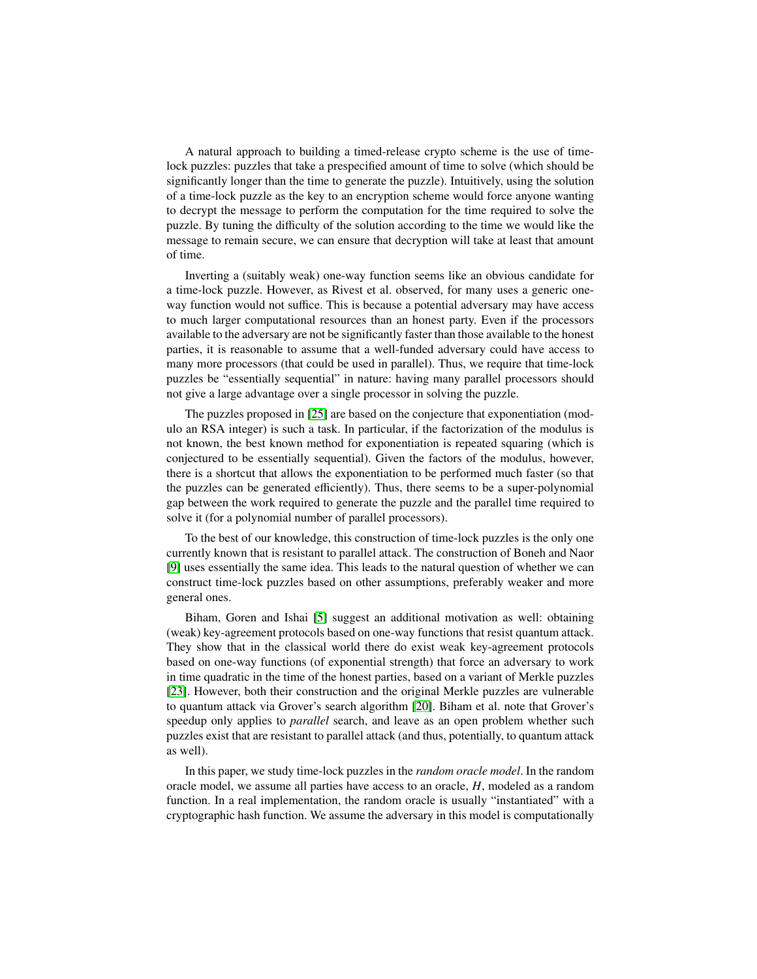A natural approach to building a timed-release crypto scheme is the use of timelock puzzles: puzzles that take a prespecified amount of time to solve (which should be significantly longer than the time to generate the puzzle). Intuitively, using the solution of a time-lock puzzle as the key to an encryption scheme would force anyone wanting to decrypt the message to perform the computation for the time required to solve the puzzle. By tuning the difficulty of the solution according to the time we would like the message to remain secure, we can ensure that decryption will take at least that amount of time.

Inverting a (suitably weak) one-way function seems like an obvious candidate for a time-lock puzzle. However, as Rivest et al. observed, for many uses a generic oneway function would not suffice. This is because a potential adversary may have access to much larger computational resources than an honest party. Even if the processors available to the adversary are not be significantly faster than those available to the honest parties, it is reasonable to assume that a well-funded adversary could have access to many more processors (that could be used in parallel). Thus, we require that time-lock puzzles be "essentially sequential" in nature: having many parallel processors should not give a large advantage over a single processor in solving the puzzle.

The puzzles proposed in [\[25\]](#page-11-1) are based on the conjecture that exponentiation (modulo an RSA integer) is such a task. In particular, if the factorization of the modulus is not known, the best known method for exponentiation is repeated squaring (which is conjectured to be essentially sequential). Given the factors of the modulus, however, there is a shortcut that allows the exponentiation to be performed much faster (so that the puzzles can be generated efficiently). Thus, there seems to be a super-polynomial gap between the work required to generate the puzzle and the parallel time required to solve it (for a polynomial number of parallel processors).

To the best of our knowledge, this construction of time-lock puzzles is the only one currently known that is resistant to parallel attack. The construction of Boneh and Naor [\[9\]](#page-11-2) uses essentially the same idea. This leads to the natural question of whether we can construct time-lock puzzles based on other assumptions, preferably weaker and more general ones.

Biham, Goren and Ishai [\[5\]](#page-10-0) suggest an additional motivation as well: obtaining (weak) key-agreement protocols based on one-way functions that resist quantum attack. They show that in the classical world there do exist weak key-agreement protocols based on one-way functions (of exponential strength) that force an adversary to work in time quadratic in the time of the honest parties, based on a variant of Merkle puzzles [\[23\]](#page-11-3). However, both their construction and the original Merkle puzzles are vulnerable to quantum attack via Grover's search algorithm [\[20\]](#page-11-4). Biham et al. note that Grover's speedup only applies to *parallel* search, and leave as an open problem whether such puzzles exist that are resistant to parallel attack (and thus, potentially, to quantum attack as well).

In this paper, we study time-lock puzzles in the *random oracle model*. In the random oracle model, we assume all parties have access to an oracle, *H*, modeled as a random function. In a real implementation, the random oracle is usually "instantiated" with a cryptographic hash function. We assume the adversary in this model is computationally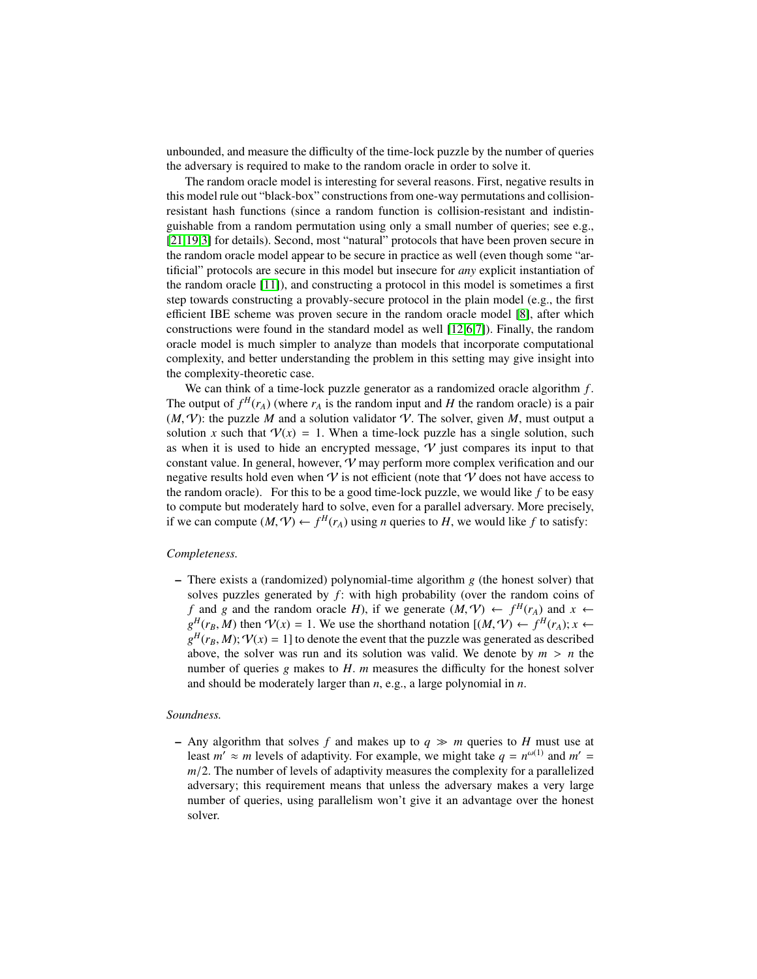unbounded, and measure the difficulty of the time-lock puzzle by the number of queries the adversary is required to make to the random oracle in order to solve it.

The random oracle model is interesting for several reasons. First, negative results in this model rule out "black-box" constructions from one-way permutations and collisionresistant hash functions (since a random function is collision-resistant and indistinguishable from a random permutation using only a small number of queries; see e.g., [\[21,](#page-11-5)[19](#page-11-6)[,3\]](#page-10-1) for details). Second, most "natural" protocols that have been proven secure in the random oracle model appear to be secure in practice as well (even though some "artificial" protocols are secure in this model but insecure for *any* explicit instantiation of the random oracle [\[11\]](#page-11-7)), and constructing a protocol in this model is sometimes a first step towards constructing a provably-secure protocol in the plain model (e.g., the first efficient IBE scheme was proven secure in the random oracle model [\[8\]](#page-11-8), after which constructions were found in the standard model as well [\[12](#page-11-9)[,6](#page-10-2)[,7\]](#page-11-10)). Finally, the random oracle model is much simpler to analyze than models that incorporate computational complexity, and better understanding the problem in this setting may give insight into the complexity-theoretic case.

We can think of a time-lock puzzle generator as a randomized oracle algorithm *f* . The output of  $f^H(r_A)$  (where  $r_A$  is the random input and *H* the random oracle) is a pair  $(M, V)$ : the puzzle *M* and a solution validator *V*. The solver, given *M*, must output a solution *x* such that  $V(x) = 1$ . When a time-lock puzzle has a single solution, such as when it is used to hide an encrypted message,  $V$  just compares its input to that constant value. In general, however, V may perform more complex verification and our negative results hold even when  $\mathcal V$  is not efficient (note that  $\mathcal V$  does not have access to the random oracle). For this to be a good time-lock puzzle, we would like *f* to be easy to compute but moderately hard to solve, even for a parallel adversary. More precisely, if we can compute  $(M, V) \leftarrow f^H(r_A)$  using *n* queries to *H*, we would like *f* to satisfy:

#### *Completeness.*

– There exists a (randomized) polynomial-time algorithm *g* (the honest solver) that solves puzzles generated by  $f$ : with high probability (over the random coins of *f* and *g* and the random oracle *H*), if we generate  $(M, V) \leftarrow f^H(r_A)$  and  $x \leftarrow f^H(r_B)$  then  $V(x) = 1$  We use the shorthand notation  $[(M, V) \leftarrow f^H(r_A): r \leftarrow f^H(r_B)$  $g^H(r_B, M)$  then  $V(x) = 1$ . We use the shorthand notation  $[(M, V) \leftarrow f^H(r_A); x \leftarrow$ <br> $g^H(r_B, M) \cdot V(r) = 1$  to denote the event that the puzzle was generated as described  $g^H(r_B, M); \mathcal{V}(x) = 1$  to denote the event that the puzzle was generated as described<br>above, the solver was run and its solution was valid. We denote by  $m > n$  the above, the solver was run and its solution was valid. We denote by  $m > n$  the number of queries *g* makes to *H*. *m* measures the difficulty for the honest solver and should be moderately larger than *n*, e.g., a large polynomial in *n*.

#### *Soundness.*

– Any algorithm that solves f and makes up to  $q \gg m$  queries to H must use at least  $m' \approx m$  levels of adaptivity. For example, we might take  $q = n^{\omega(1)}$  and  $m' =$ *<sup>m</sup>*/2. The number of levels of adaptivity measures the complexity for a parallelized adversary; this requirement means that unless the adversary makes a very large number of queries, using parallelism won't give it an advantage over the honest solver.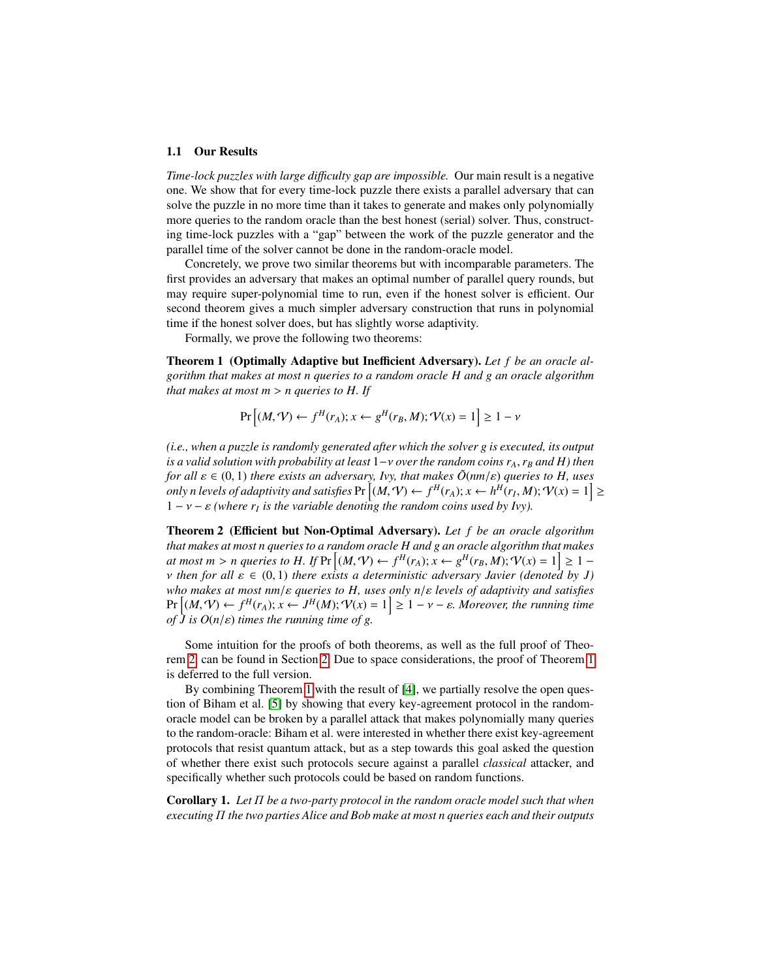#### 1.1 Our Results

*Time-lock puzzles with large di*ffi*culty gap are impossible.* Our main result is a negative one. We show that for every time-lock puzzle there exists a parallel adversary that can solve the puzzle in no more time than it takes to generate and makes only polynomially more queries to the random oracle than the best honest (serial) solver. Thus, constructing time-lock puzzles with a "gap" between the work of the puzzle generator and the parallel time of the solver cannot be done in the random-oracle model.

Concretely, we prove two similar theorems but with incomparable parameters. The first provides an adversary that makes an optimal number of parallel query rounds, but may require super-polynomial time to run, even if the honest solver is efficient. Our second theorem gives a much simpler adversary construction that runs in polynomial time if the honest solver does, but has slightly worse adaptivity.

Formally, we prove the following two theorems:

Theorem 1 (Optimally Adaptive but Inefficient Adversary). *Let f be an oracle algorithm that makes at most n queries to a random oracle H and g an oracle algorithm that makes at most m* > *n queries to H. If*

<span id="page-3-1"></span>
$$
\Pr\left[(M, \mathcal{V}) \leftarrow f^H(r_A); x \leftarrow g^H(r_B, M); \mathcal{V}(x) = 1\right] \ge 1 - v
$$

*(i.e., when a puzzle is randomly generated after which the solver g is executed, its output is a valid solution with probability at least* 1−*v over the random coins r<sub>A</sub>, r<sub>B</sub> and H) then for all*  $\varepsilon \in (0, 1)$  *there exists an adversary, Ivy, that makes*  $\tilde{O}(nm/\varepsilon)$  *queries to H, uses only n levels of adaptivity and satisfies*  $Pr[(M, V) \leftarrow f^H(r_A); x \leftarrow h^H(r_I, M); V(x) = 1] \ge$ <br> $1 - y - s$  (where r, is the variable denoting the random cains used by lyv)  $1 - v - \varepsilon$  *(where r<sub>I</sub>* is the variable denoting the random coins used by Ivy).

<span id="page-3-0"></span>Theorem 2 (Efficient but Non-Optimal Adversary). *Let f be an oracle algorithm that makes at most n queries to a random oracle H and g an oracle algorithm that makes at most m* > *n* queries to H. If  $Pr[(M, V) \leftarrow f^H(r_A); x \leftarrow g^H(r_B, M); V(x) = 1] \ge 1 - \nu$ <br>by then for all  $s \in (0, 1)$  there exists a deterministic adversary Lavier (denoted by 1) *v* then for all  $\varepsilon \in (0,1)$  there exists a deterministic adversary Javier (denoted by J) *who makes at most nm*/ε *queries to H, uses only n*/ε *levels of adaptivity and satisfies*  $Pr\left[(M, V) \leftarrow f^H(r_A); x \leftarrow J^H(M); V(x) = 1\right] \ge 1 - v - \varepsilon$ *. Moreover, the running time*<br>of *L* is  $O(n/\varepsilon)$  times the running time of g *of J is*  $O(n/\varepsilon)$  *times the running time of g.* 

Some intuition for the proofs of both theorems, as well as the full proof of Theorem [2,](#page-3-0) can be found in Section [2.](#page-6-0) Due to space considerations, the proof of Theorem [1](#page-3-1) is deferred to the full version.

By combining Theorem [1](#page-3-1) with the result of [\[4\]](#page-10-3), we partially resolve the open question of Biham et al. [\[5\]](#page-10-0) by showing that every key-agreement protocol in the randomoracle model can be broken by a parallel attack that makes polynomially many queries to the random-oracle: Biham et al. were interested in whether there exist key-agreement protocols that resist quantum attack, but as a step towards this goal asked the question of whether there exist such protocols secure against a parallel *classical* attacker, and specifically whether such protocols could be based on random functions.

Corollary 1. *Let* Π *be a two-party protocol in the random oracle model such that when executing* Π *the two parties Alice and Bob make at most n queries each and their outputs*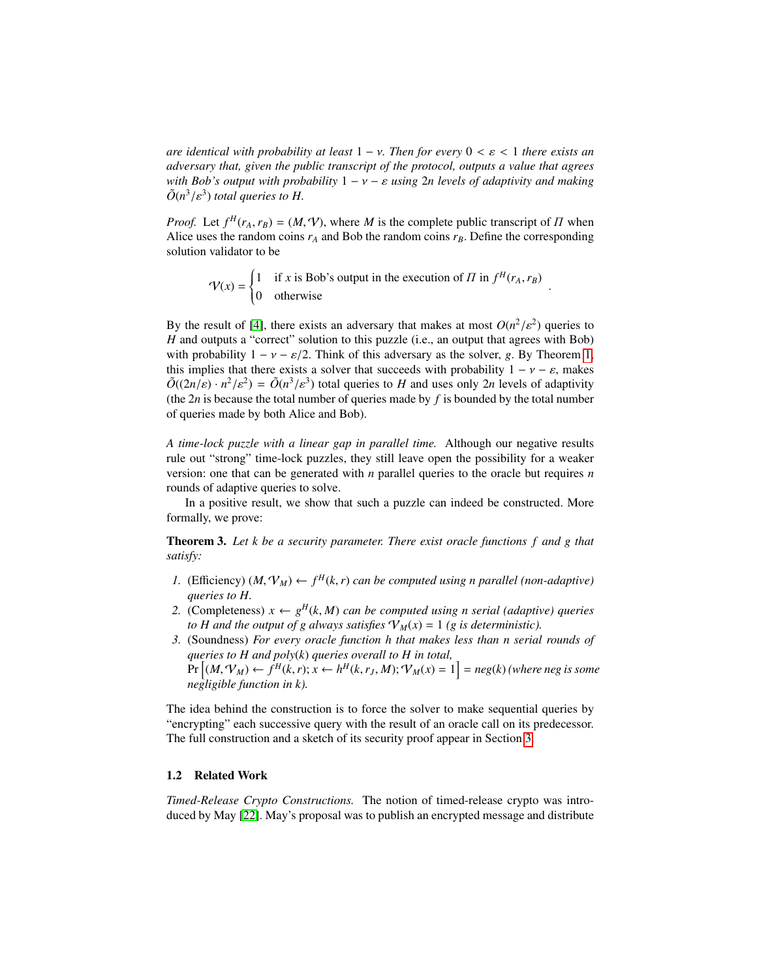*are identical with probability at least* <sup>1</sup> <sup>−</sup> ν*. Then for every* <sup>0</sup> < ε < <sup>1</sup> *there exists an adversary that, given the public transcript of the protocol, outputs a value that agrees with Bob's output with probability* <sup>1</sup> <sup>−</sup> ν <sup>−</sup> ε *using* <sup>2</sup>*n levels of adaptivity and making*  $\tilde{O}(n^3/\varepsilon^3)$  *total queries to H.* 

*Proof.* Let  $f^H(r_A, r_B) = (M, V)$ , where *M* is the complete public transcript of *Π* when Alice uses the random coins  $r_A$  and Bob the random coins  $r_B$ . Define the corresponding Alice uses the random coins  $r_A$  and Bob the random coins  $r_B$ . Define the corresponding solution validator to be

 $V(x) =$  $\left\{ \right.$  $\overline{\mathcal{L}}$ 1 if *x* is Bob's output in the execution of  $\Pi$  in  $f^H(r_A, r_B)$ <br>0 otherwise

By the result of [\[4\]](#page-10-3), there exists an adversary that makes at most  $O(n^2/\varepsilon^2)$  queries to  $H$  and outputs a "correct" solution to this puzzle (i.e., an output that agrees with Bob) *H* and outputs a "correct" solution to this puzzle (i.e., an output that agrees with Bob) with probability  $1 - v - \varepsilon/2$ . Think of this adversary as the solver, *g*. By Theorem [1,](#page-3-1) this implies that there exists a solver that succeeds with probability  $1 - v - \varepsilon$ , makes  $\tilde{O}((2n/\varepsilon) \cdot n^2/\varepsilon^2) = \tilde{O}(n^3/\varepsilon^3)$  total queries to *H* and uses only 2*n* levels of adaptivity (the 2*n* is because the total number of queries made by *f* is bounded by the total number (the  $2n$  is because the total number of queries made by  $f$  is bounded by the total number of queries made by both Alice and Bob).

*A time-lock puzzle with a linear gap in parallel time.* Although our negative results rule out "strong" time-lock puzzles, they still leave open the possibility for a weaker version: one that can be generated with *n* parallel queries to the oracle but requires *n* rounds of adaptive queries to solve.

<span id="page-4-0"></span>In a positive result, we show that such a puzzle can indeed be constructed. More formally, we prove:

Theorem 3. *Let k be a security parameter. There exist oracle functions f and g that satisfy:*

- *1.* (Efficiency)  $(M, \mathcal{V}_M) \leftarrow f^H(k, r)$  *can be computed using n parallel (non-adaptive)*<br>quaries to H *queries to H.*
- 2. (Completeness)  $x \leftarrow g^H(k, M)$  *can be computed using n serial (adaptive) queries*<br>*to H and the output of a always satisfies*  $\mathcal{V}_{\alpha}(x) = 1$  *(a is deterministic) to H and the output of g always satisfies*  $V_M(x) = 1$  *(g is deterministic).*
- *3.* (Soundness) *For every oracle function h that makes less than n serial rounds of queries to H and poly*(*k*) *queries overall to H in total,*
	- $\Pr\left[(M, \mathcal{V}_M) \leftarrow \hat{f}^H(k, r); x \leftarrow h^H(k, r, M); \mathcal{V}_M(x) = 1\right] = neg(k)$  (where neg is some negligible function in k) *negligible function in k).*

The idea behind the construction is to force the solver to make sequential queries by "encrypting" each successive query with the result of an oracle call on its predecessor. The full construction and a sketch of its security proof appear in Section [3.](#page-8-0)

### 1.2 Related Work

*Timed-Release Crypto Constructions.* The notion of timed-release crypto was introduced by May [\[22\]](#page-11-0). May's proposal was to publish an encrypted message and distribute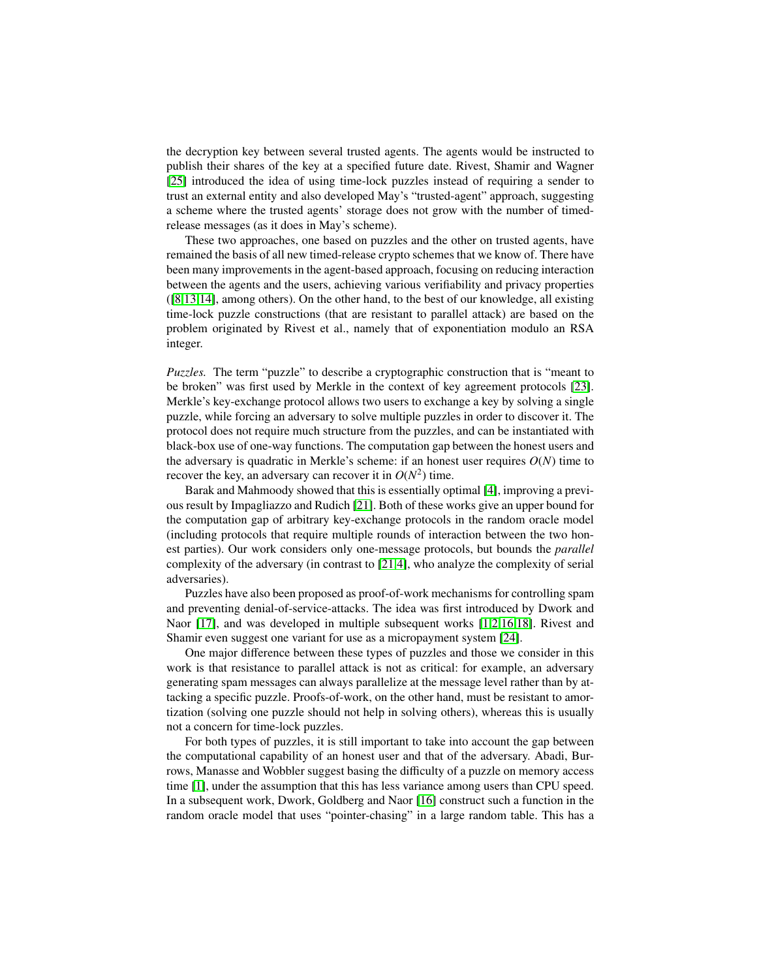the decryption key between several trusted agents. The agents would be instructed to publish their shares of the key at a specified future date. Rivest, Shamir and Wagner [\[25\]](#page-11-1) introduced the idea of using time-lock puzzles instead of requiring a sender to trust an external entity and also developed May's "trusted-agent" approach, suggesting a scheme where the trusted agents' storage does not grow with the number of timedrelease messages (as it does in May's scheme).

These two approaches, one based on puzzles and the other on trusted agents, have remained the basis of all new timed-release crypto schemes that we know of. There have been many improvements in the agent-based approach, focusing on reducing interaction between the agents and the users, achieving various verifiability and privacy properties ([\[8](#page-11-8)[,13](#page-11-11)[,14\]](#page-11-12), among others). On the other hand, to the best of our knowledge, all existing time-lock puzzle constructions (that are resistant to parallel attack) are based on the problem originated by Rivest et al., namely that of exponentiation modulo an RSA integer.

*Puzzles.* The term "puzzle" to describe a cryptographic construction that is "meant to be broken" was first used by Merkle in the context of key agreement protocols [\[23\]](#page-11-3). Merkle's key-exchange protocol allows two users to exchange a key by solving a single puzzle, while forcing an adversary to solve multiple puzzles in order to discover it. The protocol does not require much structure from the puzzles, and can be instantiated with black-box use of one-way functions. The computation gap between the honest users and the adversary is quadratic in Merkle's scheme: if an honest user requires  $O(N)$  time to recover the key, an adversary can recover it in  $O(N^2)$  time.

Barak and Mahmoody showed that this is essentially optimal [\[4\]](#page-10-3), improving a previous result by Impagliazzo and Rudich [\[21\]](#page-11-5). Both of these works give an upper bound for the computation gap of arbitrary key-exchange protocols in the random oracle model (including protocols that require multiple rounds of interaction between the two honest parties). Our work considers only one-message protocols, but bounds the *parallel* complexity of the adversary (in contrast to [\[21,](#page-11-5)[4\]](#page-10-3), who analyze the complexity of serial adversaries).

Puzzles have also been proposed as proof-of-work mechanisms for controlling spam and preventing denial-of-service-attacks. The idea was first introduced by Dwork and Naor [\[17\]](#page-11-13), and was developed in multiple subsequent works [\[1](#page-10-4)[,2](#page-10-5)[,16](#page-11-14)[,18\]](#page-11-15). Rivest and Shamir even suggest one variant for use as a micropayment system [\[24\]](#page-11-16).

One major difference between these types of puzzles and those we consider in this work is that resistance to parallel attack is not as critical: for example, an adversary generating spam messages can always parallelize at the message level rather than by attacking a specific puzzle. Proofs-of-work, on the other hand, must be resistant to amortization (solving one puzzle should not help in solving others), whereas this is usually not a concern for time-lock puzzles.

For both types of puzzles, it is still important to take into account the gap between the computational capability of an honest user and that of the adversary. Abadi, Burrows, Manasse and Wobbler suggest basing the difficulty of a puzzle on memory access time [\[1\]](#page-10-4), under the assumption that this has less variance among users than CPU speed. In a subsequent work, Dwork, Goldberg and Naor [\[16\]](#page-11-14) construct such a function in the random oracle model that uses "pointer-chasing" in a large random table. This has a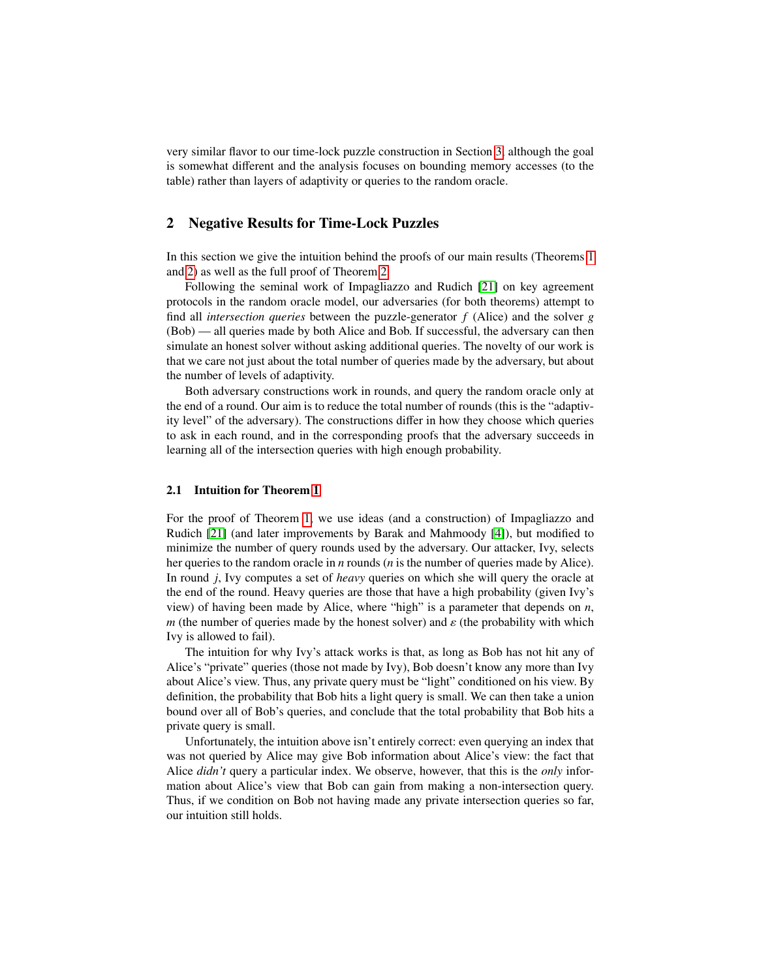very similar flavor to our time-lock puzzle construction in Section [3,](#page-8-0) although the goal is somewhat different and the analysis focuses on bounding memory accesses (to the table) rather than layers of adaptivity or queries to the random oracle.

# <span id="page-6-0"></span>2 Negative Results for Time-Lock Puzzles

In this section we give the intuition behind the proofs of our main results (Theorems [1](#page-3-1) and [2\)](#page-3-0) as well as the full proof of Theorem [2.](#page-3-0)

Following the seminal work of Impagliazzo and Rudich [\[21\]](#page-11-5) on key agreement protocols in the random oracle model, our adversaries (for both theorems) attempt to find all *intersection queries* between the puzzle-generator *f* (Alice) and the solver *g* (Bob) — all queries made by both Alice and Bob. If successful, the adversary can then simulate an honest solver without asking additional queries. The novelty of our work is that we care not just about the total number of queries made by the adversary, but about the number of levels of adaptivity.

Both adversary constructions work in rounds, and query the random oracle only at the end of a round. Our aim is to reduce the total number of rounds (this is the "adaptivity level" of the adversary). The constructions differ in how they choose which queries to ask in each round, and in the corresponding proofs that the adversary succeeds in learning all of the intersection queries with high enough probability.

## 2.1 Intuition for Theorem [1](#page-3-1)

For the proof of Theorem [1,](#page-3-1) we use ideas (and a construction) of Impagliazzo and Rudich [\[21\]](#page-11-5) (and later improvements by Barak and Mahmoody [\[4\]](#page-10-3)), but modified to minimize the number of query rounds used by the adversary. Our attacker, Ivy, selects her queries to the random oracle in *n* rounds (*n* is the number of queries made by Alice). In round *j*, Ivy computes a set of *heavy* queries on which she will query the oracle at the end of the round. Heavy queries are those that have a high probability (given Ivy's view) of having been made by Alice, where "high" is a parameter that depends on *n*, *m* (the number of queries made by the honest solver) and  $\varepsilon$  (the probability with which Ivy is allowed to fail).

The intuition for why Ivy's attack works is that, as long as Bob has not hit any of Alice's "private" queries (those not made by Ivy), Bob doesn't know any more than Ivy about Alice's view. Thus, any private query must be "light" conditioned on his view. By definition, the probability that Bob hits a light query is small. We can then take a union bound over all of Bob's queries, and conclude that the total probability that Bob hits a private query is small.

Unfortunately, the intuition above isn't entirely correct: even querying an index that was not queried by Alice may give Bob information about Alice's view: the fact that Alice *didn't* query a particular index. We observe, however, that this is the *only* information about Alice's view that Bob can gain from making a non-intersection query. Thus, if we condition on Bob not having made any private intersection queries so far, our intuition still holds.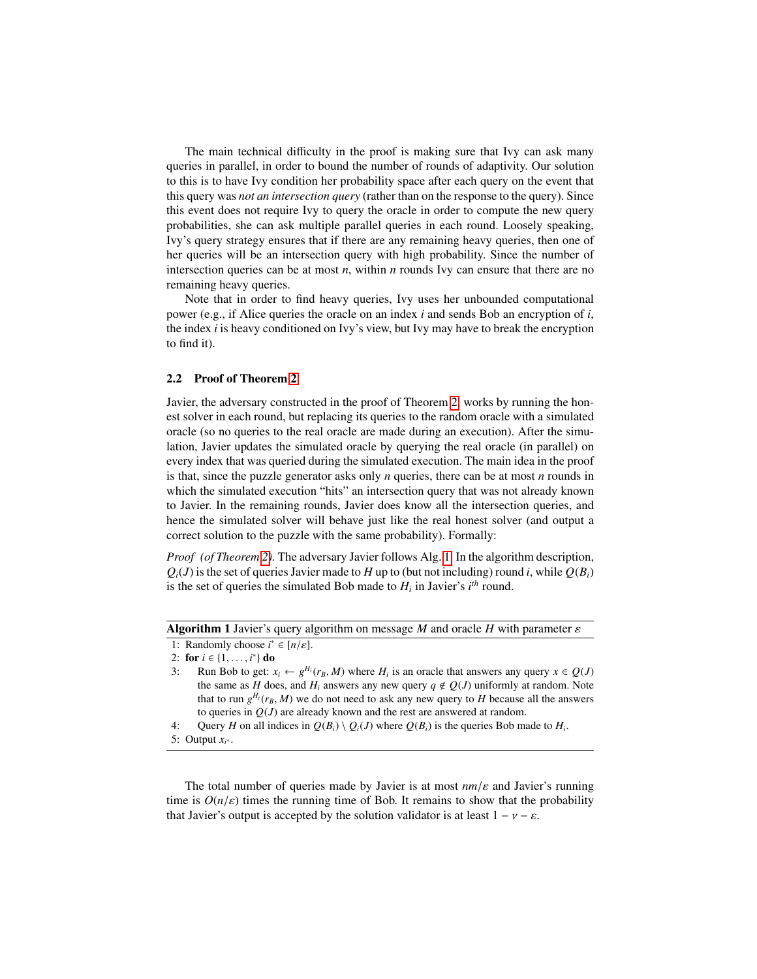The main technical difficulty in the proof is making sure that Ivy can ask many queries in parallel, in order to bound the number of rounds of adaptivity. Our solution to this is to have Ivy condition her probability space after each query on the event that this query was *not an intersection query* (rather than on the response to the query). Since this event does not require Ivy to query the oracle in order to compute the new query probabilities, she can ask multiple parallel queries in each round. Loosely speaking, Ivy's query strategy ensures that if there are any remaining heavy queries, then one of her queries will be an intersection query with high probability. Since the number of intersection queries can be at most *n*, within *n* rounds Ivy can ensure that there are no remaining heavy queries.

Note that in order to find heavy queries, Ivy uses her unbounded computational power (e.g., if Alice queries the oracle on an index *i* and sends Bob an encryption of *i*, the index *i* is heavy conditioned on Ivy's view, but Ivy may have to break the encryption to find it).

#### 2.2 Proof of Theorem [2](#page-3-0)

Javier, the adversary constructed in the proof of Theorem [2,](#page-3-0) works by running the honest solver in each round, but replacing its queries to the random oracle with a simulated oracle (so no queries to the real oracle are made during an execution). After the simulation, Javier updates the simulated oracle by querying the real oracle (in parallel) on every index that was queried during the simulated execution. The main idea in the proof is that, since the puzzle generator asks only *n* queries, there can be at most *n* rounds in which the simulated execution "hits" an intersection query that was not already known to Javier. In the remaining rounds, Javier does know all the intersection queries, and hence the simulated solver will behave just like the real honest solver (and output a correct solution to the puzzle with the same probability). Formally:

*Proof (of Theorem [2\)](#page-3-0).* The adversary Javier follows Alg. [1.](#page-7-0) In the algorithm description,  $Q_i(J)$  is the set of queries Javier made to *H* up to (but not including) round *i*, while  $Q(B_i)$ is the set of queries the simulated Bob made to  $H_i$  in Javier's  $i^{th}$  round.

**Algorithm 1** Javier's query algorithm on message *M* and oracle *H* with parameter  $\varepsilon$ 

The total number of queries made by Javier is at most *nm*/ε and Javier's running time is  $O(n/\varepsilon)$  times the running time of Bob. It remains to show that the probability that Javier's output is accepted by the solution validator is at least  $1 - v - \varepsilon$ .

<span id="page-7-0"></span><sup>1:</sup> Randomly choose  $i^* \in [n/\varepsilon]$ .<br>2: for  $i \in \{1, \dots, i^*\}$  do

<sup>2:</sup> for  $i \in \{1, ..., i^*\}$  do<br>3: Pup Bob to get:

<sup>3:</sup> Run Bob to get:  $x_i \leftarrow g^{H_i}(r_B, M)$  where  $H_i$  is an oracle that answers any query  $x \in Q(J)$ <br>the same as *H* does and *H*, answers any new query  $a \notin Q(I)$  uniformly at random. Note the same as *H* does, and  $H_i$  answers any new query  $q \notin Q(J)$  uniformly at random. Note that to run  $g^{H_i}(r_B, M)$  we do not need to ask any new query to *H* because all the answers<br>to queries in  $O(L)$  are already known and the rest are answered at random to queries in *Q*(*J*) are already known and the rest are answered at random.

<sup>4:</sup> Query *H* on all indices in  $Q(B_i) \setminus Q_i(J)$  where  $Q(B_i)$  is the queries Bob made to  $H_i$ .

<sup>5:</sup> Output  $x_i^*$ .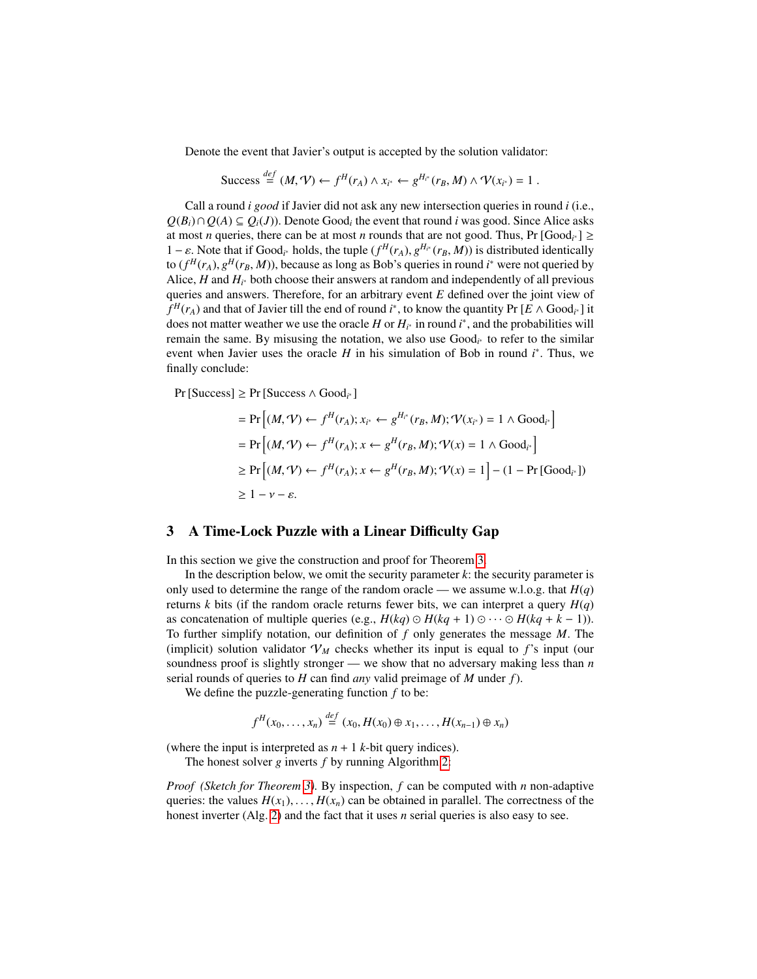Denote the event that Javier's output is accepted by the solution validator:

$$
\text{Success} \stackrel{def}{=} (M, \mathcal{V}) \leftarrow f^H(r_A) \land x_{i^*} \leftarrow g^{H_{i^*}}(r_B, M) \land \mathcal{V}(x_{i^*}) = 1 \; .
$$

Call a round *i good* if Javier did not ask any new intersection queries in round *i* (i.e.,  $Q(B_i) \cap Q(A) \subseteq Q_i(J)$ . Denote Good<sub>*i*</sub> the event that round *i* was good. Since Alice asks at most *n* queries, there can be at most *n* rounds that are not good. Thus, Pr [Good<sub>i<sup>\*</sub></sup>] ≥</sub> 1 −  $\varepsilon$ . Note that if Good<sub>i<sup>\*</sub></sup> holds, the tuple  $(f^H(r_A), g^{H_i*}(r_B, M))$  is distributed identically to  $(f^H(r_A), g^H(r_B, M))$  because as long as Bob's queries in round i<sup>\*</sup> were not queried by</sub> to  $(f^H(r_A), g^H(r_B, M))$ , because as long as Bob's queries in round *i*<sup>\*</sup> were not queried by Alice *H* and *H*<sub>n</sub> both choose their answers at random and independently of all previous Alice,  $H$  and  $H_i^*$  both choose their answers at random and independently of all previous queries and answers. Therefore, for an arbitrary event *E* defined over the joint view of  $f^H(r_A)$  and that of Javier till the end of round *i*<sup>\*</sup>, to know the quantity Pr [*E* ∧ Good<sub>*i*<sup>\*</sup></sub>] it does not matter weather we use the oracle *H* or  $H_{i^*}$  in round  $i^*$ , and the probabilities will remain the same. By misusing the notation, we also use Good*<sup>i</sup>* <sup>∗</sup> to refer to the similar event when Javier uses the oracle  $H$  in his simulation of Bob in round  $i^*$ . Thus, we finally conclude:

Pr [Success] ≥ Pr [Success ∧ Good*<sup>i</sup>* ∗ ]

$$
= \Pr\left[ (M, \mathcal{V}) \leftarrow f^H(r_A); x_{i^*} \leftarrow g^{H_{i^*}}(r_B, M); \mathcal{V}(x_{i^*}) = 1 \wedge \text{Good}_{i^*} \right]
$$
  
\n
$$
= \Pr\left[ (M, \mathcal{V}) \leftarrow f^H(r_A); x \leftarrow g^H(r_B, M); \mathcal{V}(x) = 1 \wedge \text{Good}_{i^*} \right]
$$
  
\n
$$
\geq \Pr\left[ (M, \mathcal{V}) \leftarrow f^H(r_A); x \leftarrow g^H(r_B, M); \mathcal{V}(x) = 1 \right] - (1 - \Pr[\text{Good}_{i^*}])
$$
  
\n
$$
\geq 1 - \nu - \varepsilon.
$$

## <span id="page-8-0"></span>3 A Time-Lock Puzzle with a Linear Difficulty Gap

In this section we give the construction and proof for Theorem [3.](#page-4-0)

In the description below, we omit the security parameter *k*: the security parameter is only used to determine the range of the random oracle — we assume w.l.o.g. that  $H(q)$ returns *k* bits (if the random oracle returns fewer bits, we can interpret a query  $H(q)$ as concatenation of multiple queries (e.g.,  $H(kq) \odot H(kq + 1) \odot \cdots \odot H(kq + k - 1)$ ). To further simplify notation, our definition of *f* only generates the message *M*. The (implicit) solution validator  $V_M$  checks whether its input is equal to  $f$ 's input (our soundness proof is slightly stronger — we show that no adversary making less than *n* serial rounds of queries to *H* can find *any* valid preimage of *M* under *f*).

We define the puzzle-generating function *f* to be:

$$
f^H(x_0,...,x_n) \stackrel{def}{=} (x_0, H(x_0) \oplus x_1,..., H(x_{n-1}) \oplus x_n)
$$

(where the input is interpreted as  $n + 1$  *k*-bit query indices).

The honest solver *g* inverts *f* by running Algorithm [2:](#page-9-0)

*Proof (Sketch for Theorem [3\)](#page-4-0).* By inspection, *f* can be computed with *n* non-adaptive queries: the values  $H(x_1), \ldots, H(x_n)$  can be obtained in parallel. The correctness of the honest inverter (Alg. [2\)](#page-9-0) and the fact that it uses *n* serial queries is also easy to see.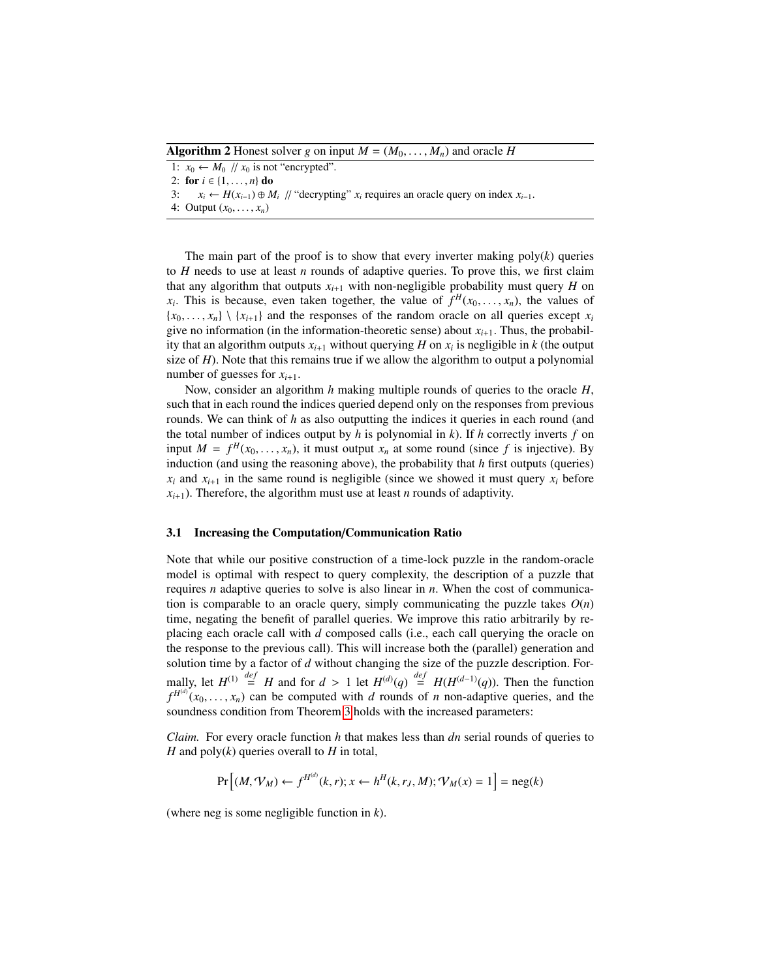Algorithm 2 Honest solver *g* on input  $M = (M_0, \ldots, M_n)$  and oracle *H* 

<span id="page-9-0"></span>1:  $x_0 \leftarrow M_0$  //  $x_0$  is not "encrypted".

2: for 
$$
i \in \{1, ..., n\}
$$
 do

2: **for** *i* ∈ {1, . . . , *n*} **do**<br>3:  $x_i$  ← *H*(*x<sub>i−1</sub>*) ⊕ *M<sub>i</sub>* // "decrypting" *x<sub>i</sub>* requires an oracle query on index *x<sub>i−1</sub>*.

4: Output 
$$
(x_0, \ldots, x_n)
$$

The main part of the proof is to show that every inverter making  $poly(k)$  queries to *H* needs to use at least *n* rounds of adaptive queries. To prove this, we first claim that any algorithm that outputs  $x_{i+1}$  with non-negligible probability must query *H* on  $x_i$ . This is because, even taken together, the value of  $f^H(x_0, \ldots, x_n)$ , the values of  $f^X(x_0, \ldots, x_n)$  and the repropress of the random oracle on all queries except  $x_i$  ${x_0, \ldots, x_n} \setminus {x_{i+1}}$  and the responses of the random oracle on all queries except  $x_i$ give no information (in the information-theoretic sense) about  $x_{i+1}$ . Thus, the probability that an algorithm outputs  $x_{i+1}$  without querying *H* on  $x_i$  is negligible in *k* (the output size of *H*). Note that this remains true if we allow the algorithm to output a polynomial number of guesses for  $x_{i+1}$ .

Now, consider an algorithm *h* making multiple rounds of queries to the oracle *H*, such that in each round the indices queried depend only on the responses from previous rounds. We can think of h as also outputting the indices it queries in each round (and the total number of indices output by *h* is polynomial in *k*). If *h* correctly inverts *f* on input  $M = f^H(x_0, \ldots, x_n)$ , it must output  $x_n$  at some round (since *f* is injective). By induction (and using the reasoning above), the probability that *h* first outputs (queries) induction (and using the reasoning above), the probability that *h* first outputs (queries)  $x_i$  and  $x_{i+1}$  in the same round is negligible (since we showed it must query  $x_i$  before  $x_{i+1}$ ). Therefore, the algorithm must use at least *n* rounds of adaptivity.

#### 3.1 Increasing the Computation/Communication Ratio

Note that while our positive construction of a time-lock puzzle in the random-oracle model is optimal with respect to query complexity, the description of a puzzle that requires *n* adaptive queries to solve is also linear in *n*. When the cost of communication is comparable to an oracle query, simply communicating the puzzle takes  $O(n)$ time, negating the benefit of parallel queries. We improve this ratio arbitrarily by replacing each oracle call with *d* composed calls (i.e., each call querying the oracle on the response to the previous call). This will increase both the (parallel) generation and solution time by a factor of *d* without changing the size of the puzzle description. Formally, let  $H^{(1)} \stackrel{def}{=} H$  and for  $d > 1$  let  $H^{(d)}(q) \stackrel{def}{=} H(H^{(d-1)}(q))$ . Then the function  $H^{(d)}(r_0, r_1)$  can be computed with *d* rounds of *n* non-adaptive queries, and the  $f^{H^{(d)}}(x_0, \ldots, x_n)$  can be computed with *d* rounds of *n* non-adaptive queries, and the soundness condition from Theorem 3 holds with the increased parameters. soundness condition from Theorem [3](#page-4-0) holds with the increased parameters:

*Claim.* For every oracle function *h* that makes less than *dn* serial rounds of queries to *H* and poly(*k*) queries overall to *H* in total,

$$
\Pr\left[(M, \mathcal{V}_M) \leftarrow f^{H^{(d)}}(k, r); x \leftarrow h^H(k, r, M); \mathcal{V}_M(x) = 1\right] = neg(k)
$$

(where neg is some negligible function in *k*).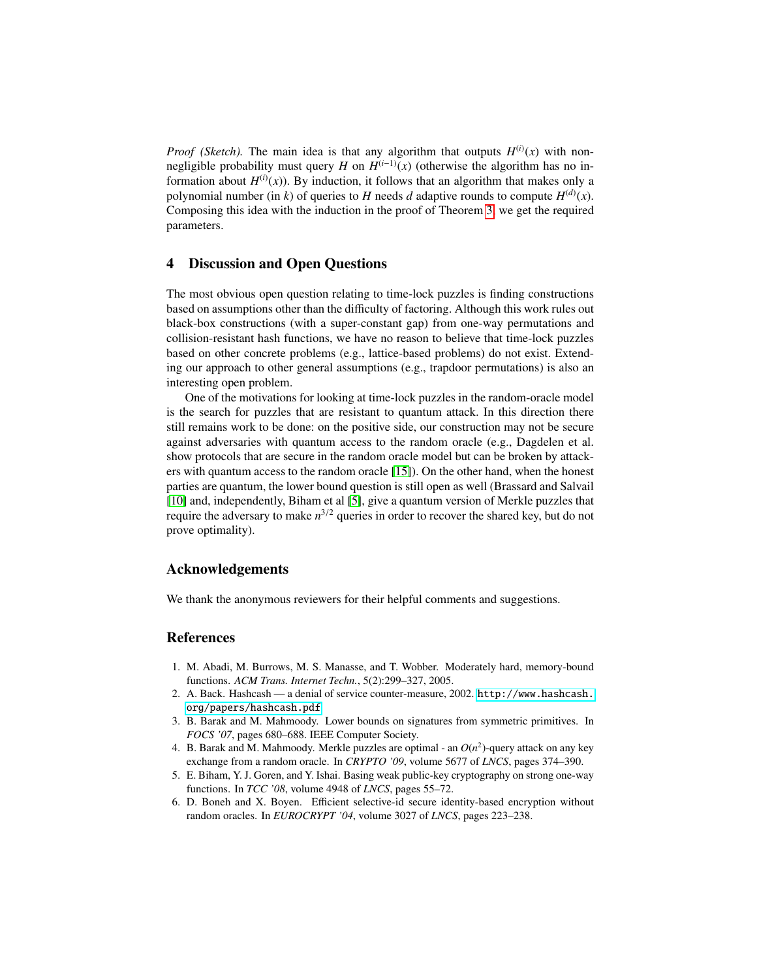*Proof (Sketch)*. The main idea is that any algorithm that outputs  $H^{(i)}(x)$  with nonnegligible probability must query *H* on  $H^{(i-1)}(x)$  (otherwise the algorithm has no information about  $H^{(i)}(x)$ ). By induction, it follows that an algorithm that makes only a polynomial number (in *k*) of queries to *H* needs *d* adaptive rounds to compute  $H^{(d)}(x)$ . Composing this idea with the induction in the proof of Theorem [3,](#page-4-0) we get the required parameters.

# 4 Discussion and Open Questions

The most obvious open question relating to time-lock puzzles is finding constructions based on assumptions other than the difficulty of factoring. Although this work rules out black-box constructions (with a super-constant gap) from one-way permutations and collision-resistant hash functions, we have no reason to believe that time-lock puzzles based on other concrete problems (e.g., lattice-based problems) do not exist. Extending our approach to other general assumptions (e.g., trapdoor permutations) is also an interesting open problem.

One of the motivations for looking at time-lock puzzles in the random-oracle model is the search for puzzles that are resistant to quantum attack. In this direction there still remains work to be done: on the positive side, our construction may not be secure against adversaries with quantum access to the random oracle (e.g., Dagdelen et al. show protocols that are secure in the random oracle model but can be broken by attackers with quantum access to the random oracle [\[15\]](#page-11-17)). On the other hand, when the honest parties are quantum, the lower bound question is still open as well (Brassard and Salvail [\[10\]](#page-11-18) and, independently, Biham et al [\[5\]](#page-10-0), give a quantum version of Merkle puzzles that require the adversary to make *n* <sup>3</sup>/<sup>2</sup> queries in order to recover the shared key, but do not prove optimality).

## Acknowledgements

We thank the anonymous reviewers for their helpful comments and suggestions.

# **References**

- <span id="page-10-4"></span>1. M. Abadi, M. Burrows, M. S. Manasse, and T. Wobber. Moderately hard, memory-bound functions. *ACM Trans. Internet Techn.*, 5(2):299–327, 2005.
- <span id="page-10-5"></span>2. A. Back. Hashcash — a denial of service counter-measure, 2002. [http://www.hashcash.](http://www.hashcash.org/papers/hashcash.pdf) [org/papers/hashcash.pdf](http://www.hashcash.org/papers/hashcash.pdf).
- <span id="page-10-1"></span>3. B. Barak and M. Mahmoody. Lower bounds on signatures from symmetric primitives. In *FOCS '07*, pages 680–688. IEEE Computer Society.
- <span id="page-10-3"></span>4. B. Barak and M. Mahmoody. Merkle puzzles are optimal - an  $O(n^2)$ -query attack on any key exchange from a random oracle. In *CRYPTO '09*, volume 5677 of *LNCS*, pages 374–390.
- <span id="page-10-0"></span>5. E. Biham, Y. J. Goren, and Y. Ishai. Basing weak public-key cryptography on strong one-way functions. In *TCC '08*, volume 4948 of *LNCS*, pages 55–72.
- <span id="page-10-2"></span>6. D. Boneh and X. Boyen. Efficient selective-id secure identity-based encryption without random oracles. In *EUROCRYPT '04*, volume 3027 of *LNCS*, pages 223–238.